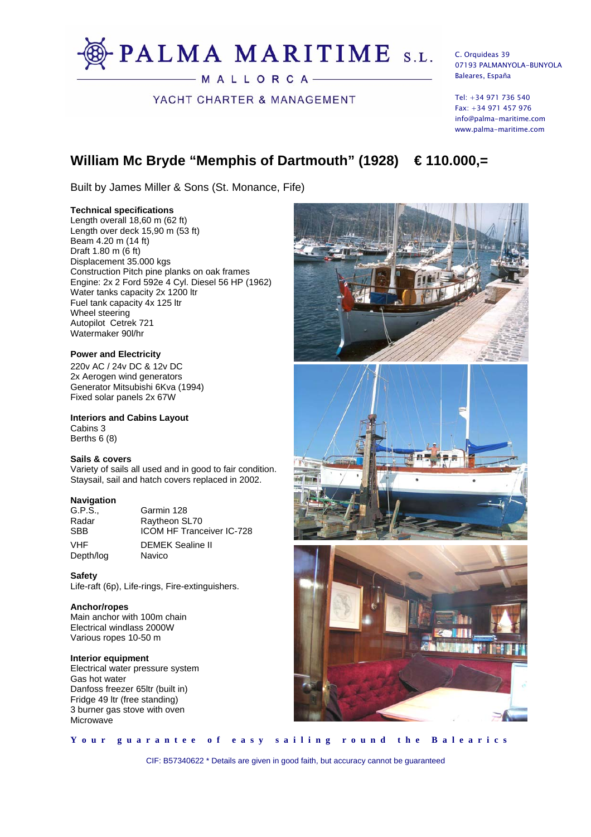

YACHT CHARTER & MANAGEMENT

C. Orquideas 39 07193 PALMANYOLA-BUNYOLA Baleares, España

Tel: +34 971 736 540 Fax: +34 971 457 976 info@palma-maritime.com www.palma-maritime.com

# **William Mc Bryde "Memphis of Dartmouth" (1928) € 110.000,=**

Built by James Miller & Sons (St. Monance, Fife)

# **Technical specifications**

Length overall 18,60 m (62 ft) Length over deck 15,90 m (53 ft) Beam 4.20 m (14 ft) Draft 1.80 m (6 ft) Displacement 35.000 kgs Construction Pitch pine planks on oak frames Engine: 2x 2 Ford 592e 4 Cyl. Diesel 56 HP (1962) Water tanks capacity 2x 1200 ltr Fuel tank capacity 4x 125 ltr Wheel steering Autopilot Cetrek 721 Watermaker 90l/hr

# **Power and Electricity**

220v AC / 24v DC & 12v DC 2x Aerogen wind generators Generator Mitsubishi 6Kva (1994) Fixed solar panels 2x 67W

**Interiors and Cabins Layout**  Cabins 3 Berths 6 (8)

# **Sails & covers**

Variety of sails all used and in good to fair condition. Staysail, sail and hatch covers replaced in 2002.

# **Navigation**

G.P.S., Garmin 128<br>Radar Raytheon Sl Radar Raytheon SL70<br>SBB ICOM HE Tranc Depth/log Navico

**ICOM HF Tranceiver IC-728** VHF DEMEK Sealine II

# **Safety**

Life-raft (6p), Life-rings, Fire-extinguishers.

# **Anchor/ropes**

Main anchor with 100m chain Electrical windlass 2000W Various ropes 10-50 m

# **Interior equipment**

Electrical water pressure system Gas hot water Danfoss freezer 65ltr (built in) Fridge 49 ltr (free standing) 3 burner gas stove with oven **Microwave** 







**Your guarantee of easy sailing round the Balearics** 

CIF: B57340622 \* Details are given in good faith, but accuracy cannot be guaranteed